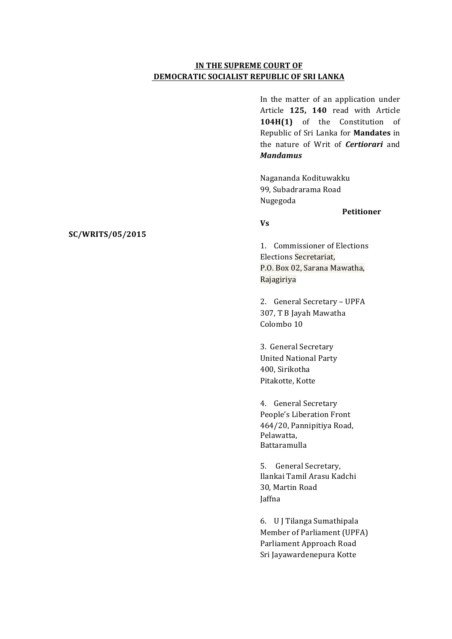## **IN THE SUPREME COURT OF DEMOCRATIC SOCIALIST REPUBLIC OF SRI LANKA**

In the matter of an application under Article **125, 140**  read with Article 104H(1) of the Constitution of Republic of Sri Lanka for **Mandates** in the nature of Writ of **Certiorari** and *Mandamus*

Nagananda Kodituwakku 99. Subadrarama Road Nugegoda 

### **Petitioner**

#### **Vs**

1. Commissioner of Elections Elections Secretariat, P.O. Box 02, Sarana Mawatha, Rajagiriya 

2. General Secretary - UPFA 307, T B Jayah Mawatha Colombo 10

3. General Secretary United National Party 400, Sirikotha Pitakotte, Kotte

4. General Secretary People's Liberation Front 464/20, Pannipitiya Road, Pelawatta, Battaramulla

5. General Secretary, Ilankai Tamil Arasu Kadchi 30. Martin Road Jaffna

6. U J Tilanga Sumathipala Member of Parliament (UPFA) Parliament Approach Road Sri Jayawardenepura Kotte

#### **SC/WRITS/05/2015**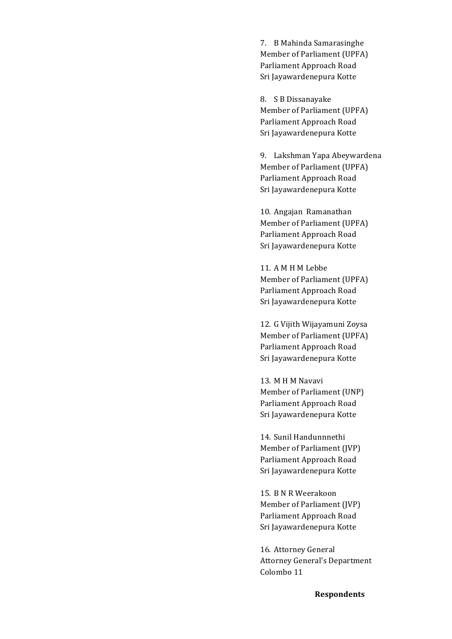7. B Mahinda Samarasinghe Member of Parliament (UPFA) Parliament Approach Road Sri Jayawardenepura Kotte

8. S B Dissanayake Member of Parliament (UPFA) Parliament Approach Road Sri Jayawardenepura Kotte

9. Lakshman Yapa Abeywardena Member of Parliament (UPFA) Parliament Approach Road Sri Jayawardenepura Kotte

10. Angajan Ramanathan Member of Parliament (UPFA) Parliament Approach Road Sri Jayawardenepura Kotte

11. A M H M Lebbe Member of Parliament (UPFA) Parliament Approach Road Sri Jayawardenepura Kotte

12. G Vijith Wijayamuni Zoysa Member of Parliament (UPFA) Parliament Approach Road Sri Jayawardenepura Kotte

13. M H M Navavi Member of Parliament (UNP) Parliament Approach Road Sri Jayawardenepura Kotte

14. Sunil Handunnnethi Member of Parliament (JVP) Parliament Approach Road Sri Jayawardenepura Kotte

15. B N R Weerakoon Member of Parliament (IVP) Parliament Approach Road Sri Jayawardenepura Kotte

16. Attorney General Attorney General's Department Colombo 11

**Respondents**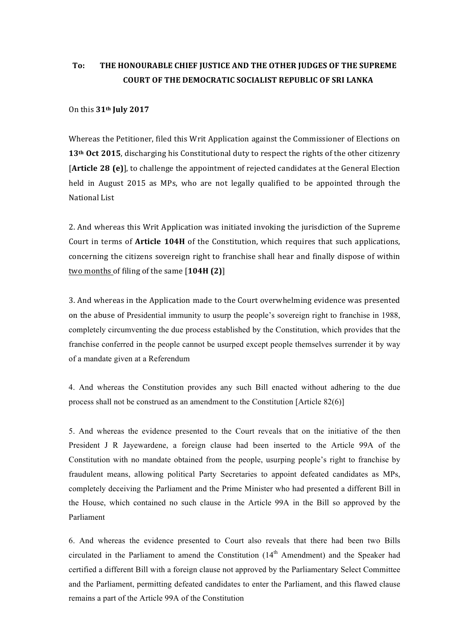# To: THE HONOURABLE CHIEF JUSTICE AND THE OTHER JUDGES OF THE SUPREME **COURT OF THE DEMOCRATIC SOCIALIST REPUBLIC OF SRI LANKA**

#### On this **31th July 2017**

Whereas the Petitioner, filed this Writ Application against the Commissioner of Elections on 13<sup>th</sup> Oct 2015, discharging his Constitutional duty to respect the rights of the other citizenry **[Article 28 (e)]**, to challenge the appointment of rejected candidates at the General Election held in August 2015 as MPs, who are not legally qualified to be appointed through the National List

2. And whereas this Writ Application was initiated invoking the jurisdiction of the Supreme Court in terms of **Article 104H** of the Constitution, which requires that such applications, concerning the citizens sovereign right to franchise shall hear and finally dispose of within two months of filing of the same [104H (2)]

3. And whereas in the Application made to the Court overwhelming evidence was presented on the abuse of Presidential immunity to usurp the people's sovereign right to franchise in 1988, completely circumventing the due process established by the Constitution, which provides that the franchise conferred in the people cannot be usurped except people themselves surrender it by way of a mandate given at a Referendum

4. And whereas the Constitution provides any such Bill enacted without adhering to the due process shall not be construed as an amendment to the Constitution [Article 82(6)]

5. And whereas the evidence presented to the Court reveals that on the initiative of the then President J R Jayewardene, a foreign clause had been inserted to the Article 99A of the Constitution with no mandate obtained from the people, usurping people's right to franchise by fraudulent means, allowing political Party Secretaries to appoint defeated candidates as MPs, completely deceiving the Parliament and the Prime Minister who had presented a different Bill in the House, which contained no such clause in the Article 99A in the Bill so approved by the Parliament

6. And whereas the evidence presented to Court also reveals that there had been two Bills circulated in the Parliament to amend the Constitution  $(14<sup>th</sup>$  Amendment) and the Speaker had certified a different Bill with a foreign clause not approved by the Parliamentary Select Committee and the Parliament, permitting defeated candidates to enter the Parliament, and this flawed clause remains a part of the Article 99A of the Constitution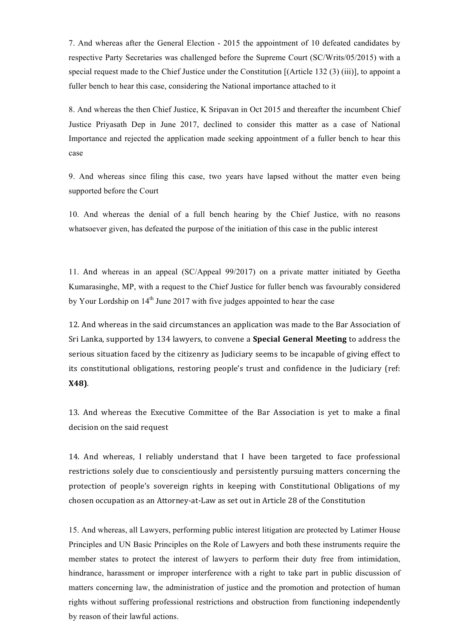7. And whereas after the General Election - 2015 the appointment of 10 defeated candidates by respective Party Secretaries was challenged before the Supreme Court (SC/Writs/05/2015) with a special request made to the Chief Justice under the Constitution [(Article 132 (3) (iii)], to appoint a fuller bench to hear this case, considering the National importance attached to it

8. And whereas the then Chief Justice, K Sripavan in Oct 2015 and thereafter the incumbent Chief Justice Priyasath Dep in June 2017, declined to consider this matter as a case of National Importance and rejected the application made seeking appointment of a fuller bench to hear this case

9. And whereas since filing this case, two years have lapsed without the matter even being supported before the Court

10. And whereas the denial of a full bench hearing by the Chief Justice, with no reasons whatsoever given, has defeated the purpose of the initiation of this case in the public interest

11. And whereas in an appeal (SC/Appeal 99/2017) on a private matter initiated by Geetha Kumarasinghe, MP, with a request to the Chief Justice for fuller bench was favourably considered by Your Lordship on  $14<sup>th</sup>$  June 2017 with five judges appointed to hear the case

12. And whereas in the said circumstances an application was made to the Bar Association of Sri Lanka, supported by 134 lawyers, to convene a **Special General Meeting** to address the serious situation faced by the citizenry as Judiciary seems to be incapable of giving effect to its constitutional obligations, restoring people's trust and confidence in the Judiciary (ref: **X48)**.

13. And whereas the Executive Committee of the Bar Association is yet to make a final decision on the said request

14. And whereas, I reliably understand that I have been targeted to face professional restrictions solely due to conscientiously and persistently pursuing matters concerning the protection of people's sovereign rights in keeping with Constitutional Obligations of my chosen occupation as an Attorney-at-Law as set out in Article 28 of the Constitution

15. And whereas, all Lawyers, performing public interest litigation are protected by Latimer House Principles and UN Basic Principles on the Role of Lawyers and both these instruments require the member states to protect the interest of lawyers to perform their duty free from intimidation, hindrance, harassment or improper interference with a right to take part in public discussion of matters concerning law, the administration of justice and the promotion and protection of human rights without suffering professional restrictions and obstruction from functioning independently by reason of their lawful actions.